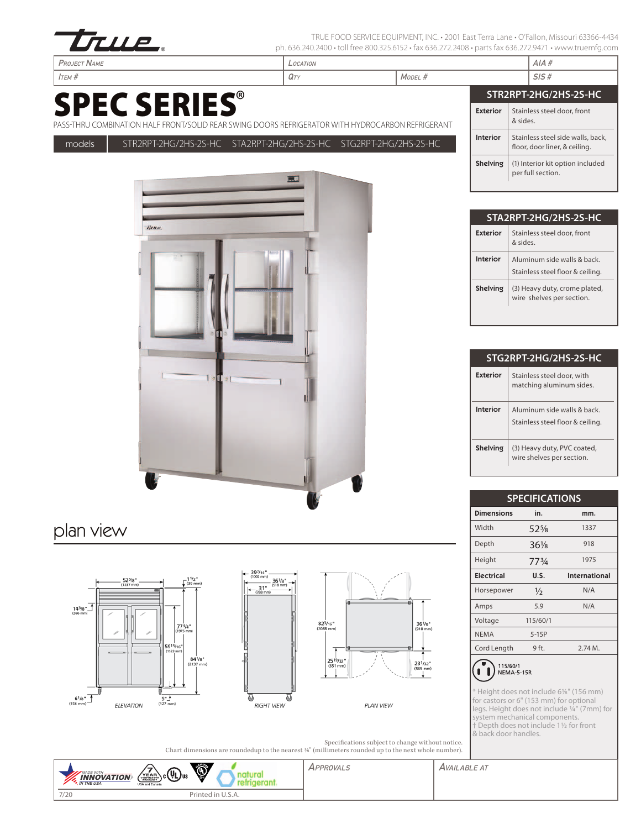

TRUE FOOD SERVICE EQUIPMENT, INC. • 2001 East Terra Lane • O'Fallon, Missouri 63366-4434 ph. 636.240.2400 • toll free 800.325.6152 • fax 636.272.2408 • parts fax 636.272.9471 • www.truemfg.com

# SPEC SERIES®



### plan view







**PLAN VIEW** 

Specifications subject to change without notice. Chart dimensions are roundedup to the nearest 1/8" (millimeters rounded up to the next whole number).

| <b>INNOVATION</b><br><b>M</b> . IN THE USA<br>USA and Canada | <b>ASSIFICE</b><br>$\mathbf{\mathcal{P}}$<br>$\left(\chi_{\rm EAR}$ c $(4)$ us | APPROVALS | <b>AVAILABLE AT</b> |
|--------------------------------------------------------------|--------------------------------------------------------------------------------|-----------|---------------------|
| 7/20                                                         | Printed in U.S.A.                                                              |           |                     |

| Project Name                                                                                                            | LOCATION |         |                 | AIA#                                                               |
|-------------------------------------------------------------------------------------------------------------------------|----------|---------|-----------------|--------------------------------------------------------------------|
| Ітєм #                                                                                                                  | QTY      | MODEL # |                 | SIS#                                                               |
|                                                                                                                         |          |         |                 | STR2RPT-2HG/2HS-2S-HC                                              |
| <b>SPEC SERIES®</b><br>ASS-THRU COMBINATION HALF FRONT/SOLID REAR SWING DOORS REFRIGERATOR WITH HYDROCARBON REFRIGERANT |          |         | <b>Exterior</b> | Stainless steel door, front<br>& sides.                            |
| STR2RPT-2HG/2HS-2S-HC STA2RPT-2HG/2HS-2S-HC STG2RPT-2HG/2HS-2S-HC<br>models                                             |          |         | Interior        | Stainless steel side walls, back,<br>floor, door liner, & ceiling. |
|                                                                                                                         |          |         | <b>Shelving</b> | (1) Interior kit option included<br>per full section.              |

|                 | 'STA2RPT-2HG/2HS-2S-HC                                         |
|-----------------|----------------------------------------------------------------|
| Exterior        | Stainless steel door, front<br>aniz &                          |
| Interior        | Aluminum side walls & back<br>Stainless steel floor & ceiling. |
| <b>Shelving</b> | (3) Heavy duty, crome plated,<br>wire shelves per section.     |
|                 |                                                                |

|                 | STG2RPT-2HG/2HS-2S-HC                                          |
|-----------------|----------------------------------------------------------------|
| Exterior        | Stainless steel door, with<br>matching aluminum sides.         |
| Interior        | Aluminum side walls & back<br>Stainless steel floor & ceiling. |
| <b>Shelving</b> | (3) Heavy duty, PVC coated,<br>wire shelves per section.       |

|                   | <b>SPECIFICATIONS</b> |               |  |  |  |  |  |  |
|-------------------|-----------------------|---------------|--|--|--|--|--|--|
| <b>Dimensions</b> | in.                   | mm.           |  |  |  |  |  |  |
| Width             | $52\%$                | 1337          |  |  |  |  |  |  |
| Depth             | $36\frac{1}{8}$       | 918           |  |  |  |  |  |  |
| Height            | 773/4                 | 1975          |  |  |  |  |  |  |
| <b>Electrical</b> | U.S.                  | International |  |  |  |  |  |  |
| Horsepower        | $\frac{1}{2}$         | N/A           |  |  |  |  |  |  |
| Amps              | 5.9                   | N/A           |  |  |  |  |  |  |
| Voltage           | 115/60/1              |               |  |  |  |  |  |  |
| <b>NEMA</b>       | $5-15P$               |               |  |  |  |  |  |  |
| Cord Length       | 9 ft.                 | 2.74M.        |  |  |  |  |  |  |
|                   |                       |               |  |  |  |  |  |  |



\* Height does not include 61/8" (156 mm) for castors or 6" (153 mm) for optional legs. Height does not include 1/4" (7mm) for system mechanical components. † Depth does not include 11/2 for front & back door handles.